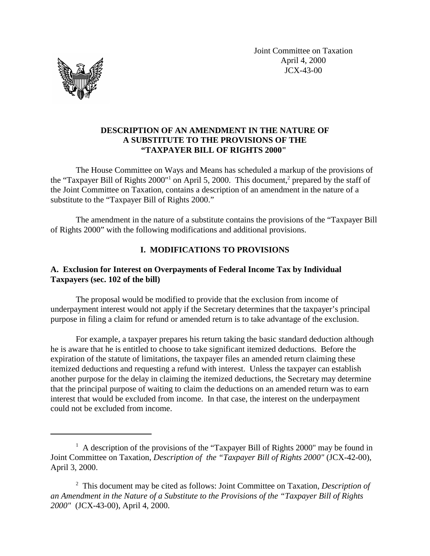Joint Committee on Taxation April 4, 2000 JCX-43-00



## **DESCRIPTION OF AN AMENDMENT IN THE NATURE OF A SUBSTITUTE TO THE PROVISIONS OF THE "TAXPAYER BILL OF RIGHTS 2000"**

The House Committee on Ways and Means has scheduled a markup of the provisions of the "Taxpayer Bill of Rights 2000"<sup>1</sup> on April 5, 2000. This document,<sup>2</sup> prepared by the staff of the Joint Committee on Taxation, contains a description of an amendment in the nature of a substitute to the "Taxpayer Bill of Rights 2000."

The amendment in the nature of a substitute contains the provisions of the "Taxpayer Bill of Rights 2000" with the following modifications and additional provisions.

# **I. MODIFICATIONS TO PROVISIONS**

# **A. Exclusion for Interest on Overpayments of Federal Income Tax by Individual Taxpayers (sec. 102 of the bill)**

The proposal would be modified to provide that the exclusion from income of underpayment interest would not apply if the Secretary determines that the taxpayer's principal purpose in filing a claim for refund or amended return is to take advantage of the exclusion.

For example, a taxpayer prepares his return taking the basic standard deduction although he is aware that he is entitled to choose to take significant itemized deductions. Before the expiration of the statute of limitations, the taxpayer files an amended return claiming these itemized deductions and requesting a refund with interest. Unless the taxpayer can establish another purpose for the delay in claiming the itemized deductions, the Secretary may determine that the principal purpose of waiting to claim the deductions on an amended return was to earn interest that would be excluded from income. In that case, the interest on the underpayment could not be excluded from income.

 $<sup>1</sup>$  A description of the provisions of the "Taxpayer Bill of Rights 2000" may be found in</sup> Joint Committee on Taxation, *Description of the "Taxpayer Bill of Rights 2000"* (JCX-42-00), April 3, 2000.

<sup>2</sup> This document may be cited as follows: Joint Committee on Taxation, *Description of an Amendment in the Nature of a Substitute to the Provisions of the "Taxpayer Bill of Rights 2000"* (JCX-43-00), April 4, 2000.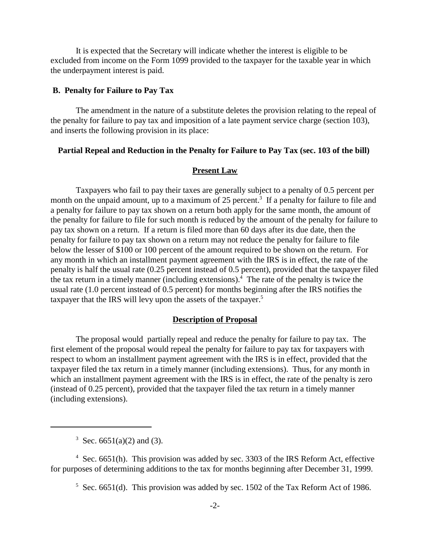It is expected that the Secretary will indicate whether the interest is eligible to be excluded from income on the Form 1099 provided to the taxpayer for the taxable year in which the underpayment interest is paid.

#### **B. Penalty for Failure to Pay Tax**

The amendment in the nature of a substitute deletes the provision relating to the repeal of the penalty for failure to pay tax and imposition of a late payment service charge (section 103), and inserts the following provision in its place:

### **Partial Repeal and Reduction in the Penalty for Failure to Pay Tax (sec. 103 of the bill)**

#### **Present Law**

Taxpayers who fail to pay their taxes are generally subject to a penalty of 0.5 percent per month on the unpaid amount, up to a maximum of 25 percent.<sup>3</sup> If a penalty for failure to file and a penalty for failure to pay tax shown on a return both apply for the same month, the amount of the penalty for failure to file for such month is reduced by the amount of the penalty for failure to pay tax shown on a return. If a return is filed more than 60 days after its due date, then the penalty for failure to pay tax shown on a return may not reduce the penalty for failure to file below the lesser of \$100 or 100 percent of the amount required to be shown on the return. For any month in which an installment payment agreement with the IRS is in effect, the rate of the penalty is half the usual rate (0.25 percent instead of 0.5 percent), provided that the taxpayer filed the tax return in a timely manner (including extensions).<sup>4</sup> The rate of the penalty is twice the usual rate (1.0 percent instead of 0.5 percent) for months beginning after the IRS notifies the taxpayer that the IRS will levy upon the assets of the taxpayer.<sup>5</sup>

#### **Description of Proposal**

The proposal would partially repeal and reduce the penalty for failure to pay tax. The first element of the proposal would repeal the penalty for failure to pay tax for taxpayers with respect to whom an installment payment agreement with the IRS is in effect, provided that the taxpayer filed the tax return in a timely manner (including extensions). Thus, for any month in which an installment payment agreement with the IRS is in effect, the rate of the penalty is zero (instead of 0.25 percent), provided that the taxpayer filed the tax return in a timely manner (including extensions).

<sup>&</sup>lt;sup>3</sup> Sec. 6651(a)(2) and (3).

 $4$  Sec. 6651(h). This provision was added by sec. 3303 of the IRS Reform Act, effective for purposes of determining additions to the tax for months beginning after December 31, 1999.

 $5$  Sec. 6651(d). This provision was added by sec. 1502 of the Tax Reform Act of 1986.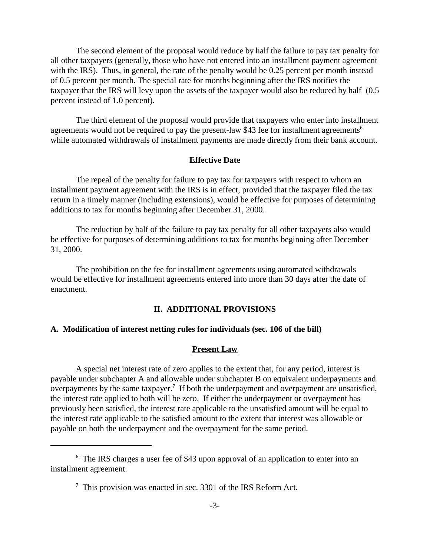The second element of the proposal would reduce by half the failure to pay tax penalty for all other taxpayers (generally, those who have not entered into an installment payment agreement with the IRS). Thus, in general, the rate of the penalty would be 0.25 percent per month instead of 0.5 percent per month. The special rate for months beginning after the IRS notifies the taxpayer that the IRS will levy upon the assets of the taxpayer would also be reduced by half (0.5 percent instead of 1.0 percent).

The third element of the proposal would provide that taxpayers who enter into installment agreements would not be required to pay the present-law \$43 fee for installment agreements<sup>6</sup> while automated withdrawals of installment payments are made directly from their bank account.

### **Effective Date**

The repeal of the penalty for failure to pay tax for taxpayers with respect to whom an installment payment agreement with the IRS is in effect, provided that the taxpayer filed the tax return in a timely manner (including extensions), would be effective for purposes of determining additions to tax for months beginning after December 31, 2000.

The reduction by half of the failure to pay tax penalty for all other taxpayers also would be effective for purposes of determining additions to tax for months beginning after December 31, 2000.

The prohibition on the fee for installment agreements using automated withdrawals would be effective for installment agreements entered into more than 30 days after the date of enactment.

### **II. ADDITIONAL PROVISIONS**

## **A. Modification of interest netting rules for individuals (sec. 106 of the bill)**

#### **Present Law**

A special net interest rate of zero applies to the extent that, for any period, interest is payable under subchapter A and allowable under subchapter B on equivalent underpayments and overpayments by the same taxpayer.<sup>7</sup> If both the underpayment and overpayment are unsatisfied, the interest rate applied to both will be zero. If either the underpayment or overpayment has previously been satisfied, the interest rate applicable to the unsatisfied amount will be equal to the interest rate applicable to the satisfied amount to the extent that interest was allowable or payable on both the underpayment and the overpayment for the same period.

<sup>&</sup>lt;sup>6</sup> The IRS charges a user fee of \$43 upon approval of an application to enter into an installment agreement.

 $7$  This provision was enacted in sec. 3301 of the IRS Reform Act.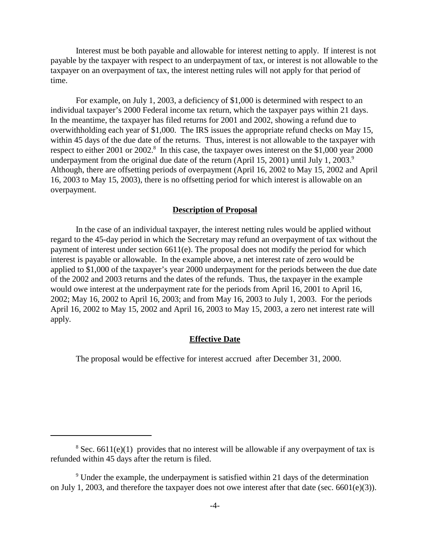Interest must be both payable and allowable for interest netting to apply. If interest is not payable by the taxpayer with respect to an underpayment of tax, or interest is not allowable to the taxpayer on an overpayment of tax, the interest netting rules will not apply for that period of time.

For example, on July 1, 2003, a deficiency of \$1,000 is determined with respect to an individual taxpayer's 2000 Federal income tax return, which the taxpayer pays within 21 days. In the meantime, the taxpayer has filed returns for 2001 and 2002, showing a refund due to overwithholding each year of \$1,000. The IRS issues the appropriate refund checks on May 15, within 45 days of the due date of the returns. Thus, interest is not allowable to the taxpayer with respect to either 2001 or 2002.<sup>8</sup> In this case, the taxpayer owes interest on the \$1,000 year 2000 underpayment from the original due date of the return (April 15, 2001) until July 1, 2003.<sup>9</sup> Although, there are offsetting periods of overpayment (April 16, 2002 to May 15, 2002 and April 16, 2003 to May 15, 2003), there is no offsetting period for which interest is allowable on an overpayment.

#### **Description of Proposal**

In the case of an individual taxpayer, the interest netting rules would be applied without regard to the 45-day period in which the Secretary may refund an overpayment of tax without the payment of interest under section 6611(e). The proposal does not modify the period for which interest is payable or allowable. In the example above, a net interest rate of zero would be applied to \$1,000 of the taxpayer's year 2000 underpayment for the periods between the due date of the 2002 and 2003 returns and the dates of the refunds. Thus, the taxpayer in the example would owe interest at the underpayment rate for the periods from April 16, 2001 to April 16, 2002; May 16, 2002 to April 16, 2003; and from May 16, 2003 to July 1, 2003. For the periods April 16, 2002 to May 15, 2002 and April 16, 2003 to May 15, 2003, a zero net interest rate will apply.

#### **Effective Date**

The proposal would be effective for interest accrued after December 31, 2000.

<sup>&</sup>lt;sup>8</sup> Sec. 6611(e)(1) provides that no interest will be allowable if any overpayment of tax is refunded within 45 days after the return is filed.

 $9$  Under the example, the underpayment is satisfied within 21 days of the determination on July 1, 2003, and therefore the taxpayer does not owe interest after that date (sec. 6601(e)(3)).